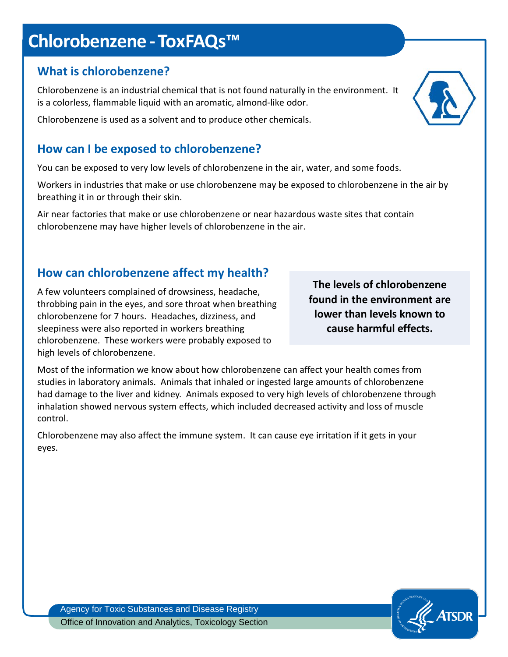# **Chlorobenzene -ToxFAQs™**

## **What is chlorobenzene?**

Chlorobenzene is an industrial chemical that is not found naturally in the environment. It is a colorless, flammable liquid with an aromatic, almond-like odor.

Chlorobenzene is used as a solvent and to produce other chemicals.

# **How can I be exposed to chlorobenzene?**

You can be exposed to very low levels of chlorobenzene in the air, water, and some foods.

Workers in industries that make or use chlorobenzene may be exposed to chlorobenzene in the air by breathing it in or through their skin.

Air near factories that make or use chlorobenzene or near hazardous waste sites that contain chlorobenzene may have higher levels of chlorobenzene in the air.

# **How can chlorobenzene affect my health?**

A few volunteers complained of drowsiness, headache, throbbing pain in the eyes, and sore throat when breathing chlorobenzene for 7 hours. Headaches, dizziness, and sleepiness were also reported in workers breathing chlorobenzene. These workers were probably exposed to high levels of chlorobenzene.

**The levels of chlorobenzene found in the environment are lower than levels known to cause harmful effects.** 

Most of the information we know about how chlorobenzene can affect your health comes from studies in laboratory animals. Animals that inhaled or ingested large amounts of chlorobenzene had damage to the liver and kidney. Animals exposed to very high levels of chlorobenzene through inhalation showed nervous system effects, which included decreased activity and loss of muscle control.

Chlorobenzene may also affect the immune system. It can cause eye irritation if it gets in your eyes.